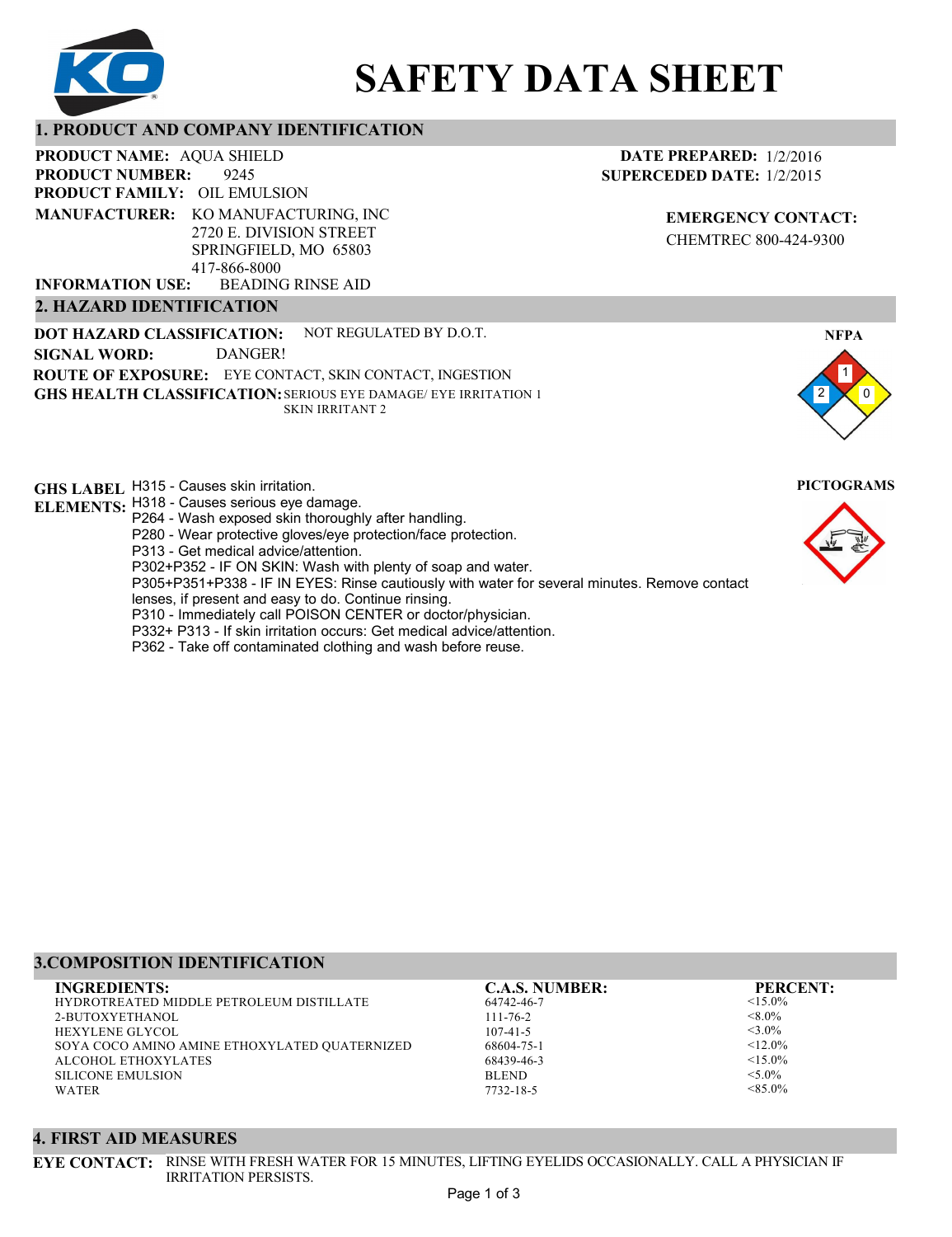

# **SAFETY DATA SHEET**

# **1. PRODUCT AND COMPANY IDENTIFICATION**

9245 **PRODUCT NAME: AQUA SHIELD PRODUCT FAMILY: OIL EMULSION** BEADING RINSE AID **PRODUCT NUMBER: MANUFACTURER:** KO MANUFACTURING, INC 2720 E. DIVISION STREET SPRINGFIELD, MO 65803 417-866-8000 **INFORMATION USE:**

#### **2. HAZARD IDENTIFICATION**

**DOT HAZARD CLASSIFICATION: GHS HEALTH CLASSIFICATION:** SERIOUS EYE DAMAGE/ EYE IRRITATION 1 **ROUTE OF EXPOSURE:** EYE CONTACT, SKIN CONTACT, INGESTION NOT REGULATED BY D.O.T. SKIN IRRITANT 2 **SIGNAL WORD:** DANGER!

**GHS LABEL**  H315 - Causes skin irritation. **PICTOGRAMS**

- **ELEMENTS:** H318 Causes serious eye damage. P264 - Wash exposed skin thoroughly after handling.
	- P280 Wear protective gloves/eye protection/face protection.
	- P313 Get medical advice/attention.
	- P302+P352 IF ON SKIN: Wash with plenty of soap and water.

P305+P351+P338 - IF IN EYES: Rinse cautiously with water for several minutes. Remove contact

- lenses, if present and easy to do. Continue rinsing.
- P310 Immediately call POISON CENTER or doctor/physician.
- P332+ P313 If skin irritation occurs: Get medical advice/attention.
- P362 Take off contaminated clothing and wash before reuse.

# **DATE PREPARED:** 1/2/2016 **SUPERCEDED DATE:** 1/2/2015

**EMERGENCY CONTACT:** CHEMTREC 800-424-9300



# **3.COMPOSITION IDENTIFICATION**

| <b>INGREDIENTS:</b>                             | <b>C.A.S. NUMBER:</b> | <b>PERCENT:</b> |
|-------------------------------------------------|-----------------------|-----------------|
| <b>HYDROTREATED MIDDLE PETROLEUM DISTILLATE</b> | 64742-46-7            | $<15.0\%$       |
| 2-BUTOXYETHANOL                                 | $111 - 76 - 2$        | $< 8.0\%$       |
| <b>HEXYLENE GLYCOL</b>                          | $107 - 41 - 5$        | $<$ 3.0%        |
| SOYA COCO AMINO AMINE ETHOXYLATED QUATERNIZED   | 68604-75-1            | $< 12.0\%$      |
| ALCOHOL ETHOXYLATES                             | 68439-46-3            | $<15.0\%$       |
| <b>SILICONE EMULSION</b>                        | <b>BLEND</b>          | $< 5.0\%$       |
| <b>WATER</b>                                    | 7732-18-5             | $< 85.0\%$      |
|                                                 |                       |                 |

#### **4. FIRST AID MEASURES**

**EYE CONTACT:** RINSE WITH FRESH WATER FOR 15 MINUTES, LIFTING EYELIDS OCCASIONALLY. CALL A PHYSICIAN IF IRRITATION PERSISTS.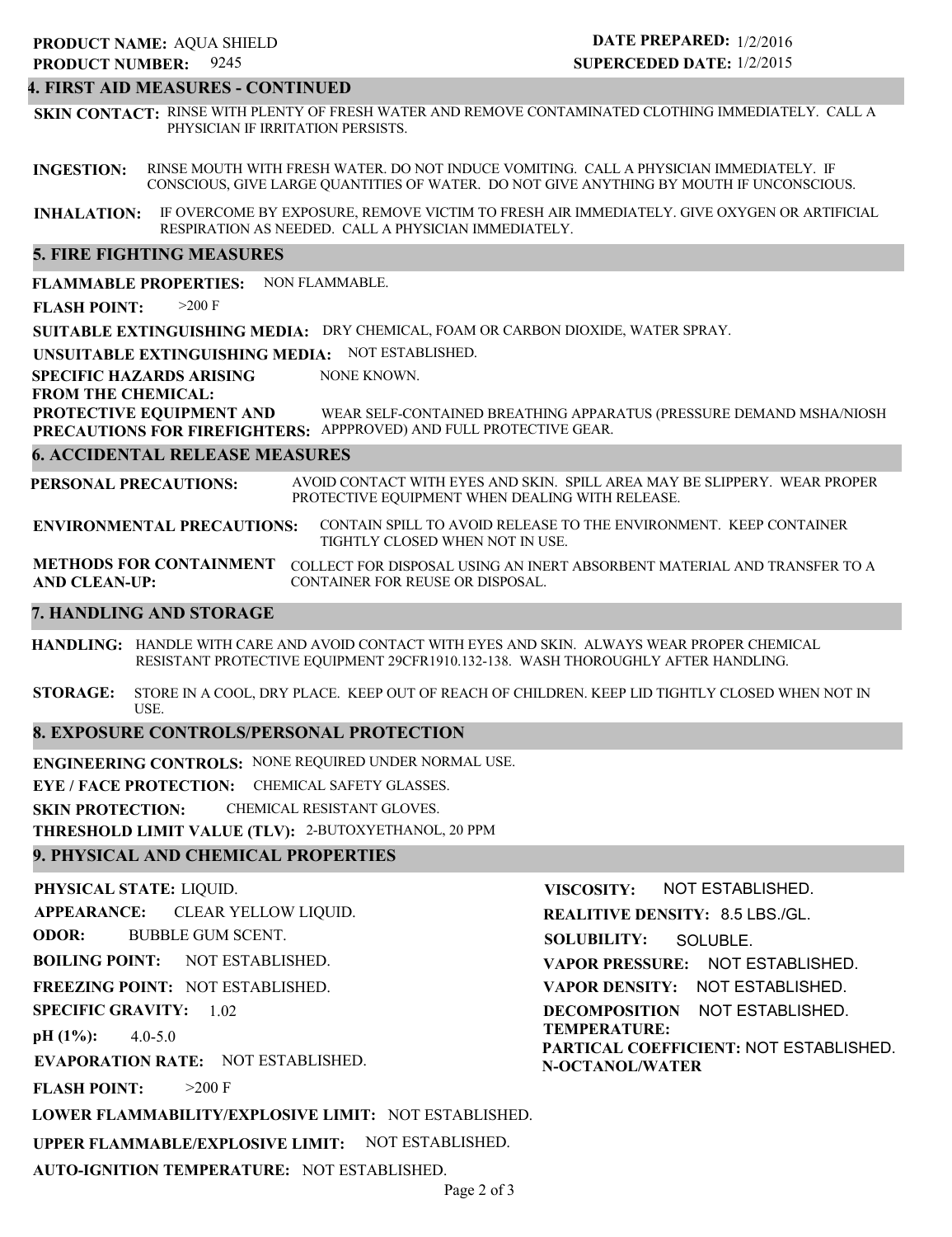# **4. FIRST AID MEASURES - CONTINUED**

**SKIN CONTACT:** RINSE WITH PLENTY OF FRESH WATER AND REMOVE CONTAMINATED CLOTHING IMMEDIATELY. CALL A PHYSICIAN IF IRRITATION PERSISTS.

**INGESTION:** RINSE MOUTH WITH FRESH WATER. DO NOT INDUCE VOMITING. CALL A PHYSICIAN IMMEDIATELY. IF CONSCIOUS, GIVE LARGE QUANTITIES OF WATER. DO NOT GIVE ANYTHING BY MOUTH IF UNCONSCIOUS.

**INHALATION:** IF OVERCOME BY EXPOSURE, REMOVE VICTIM TO FRESH AIR IMMEDIATELY. GIVE OXYGEN OR ARTIFICIAL RESPIRATION AS NEEDED. CALL A PHYSICIAN IMMEDIATELY.

#### **5. FIRE FIGHTING MEASURES**

**FLAMMABLE PROPERTIES:** NON FLAMMABLE.

**FLASH POINT:** >200 F

**SUITABLE EXTINGUISHING MEDIA:** DRY CHEMICAL, FOAM OR CARBON DIOXIDE, WATER SPRAY.

**UNSUITABLE EXTINGUISHING MEDIA:** NOT ESTABLISHED.

**SPECIFIC HAZARDS ARISING** NONE KNOWN.

**FROM THE CHEMICAL:**

**PROTECTIVE EQUIPMENT AND PRECAUTIONS FOR FIREFIGHTERS:** APPPROVED) AND FULL PROTECTIVE GEAR. WEAR SELF-CONTAINED BREATHING APPARATUS (PRESSURE DEMAND MSHA/NIOSH

#### **6. ACCIDENTAL RELEASE MEASURES**

**PERSONAL PRECAUTIONS:** AVOID CONTACT WITH EYES AND SKIN. SPILL AREA MAY BE SLIPPERY. WEAR PROPER PROTECTIVE EQUIPMENT WHEN DEALING WITH RELEASE.

**ENVIRONMENTAL PRECAUTIONS:** CONTAIN SPILL TO AVOID RELEASE TO THE ENVIRONMENT. KEEP CONTAINER TIGHTLY CLOSED WHEN NOT IN USE.

**METHODS FOR CONTAINMENT** COLLECT FOR DISPOSAL USING AN INERT ABSORBENT MATERIAL AND TRANSFER TO A **AND CLEAN-UP:** CONTAINER FOR REUSE OR DISPOSAL.

### **7. HANDLING AND STORAGE**

**HANDLING:** HANDLE WITH CARE AND AVOID CONTACT WITH EYES AND SKIN. ALWAYS WEAR PROPER CHEMICAL RESISTANT PROTECTIVE EQUIPMENT 29CFR1910.132-138. WASH THOROUGHLY AFTER HANDLING.

**STORAGE:** STORE IN A COOL, DRY PLACE. KEEP OUT OF REACH OF CHILDREN. KEEP LID TIGHTLY CLOSED WHEN NOT IN USE.

#### **8. EXPOSURE CONTROLS/PERSONAL PROTECTION**

**ENGINEERING CONTROLS:** NONE REQUIRED UNDER NORMAL USE.

**EYE / FACE PROTECTION:** CHEMICAL SAFETY GLASSES.

**SKIN PROTECTION:** CHEMICAL RESISTANT GLOVES.

**THRESHOLD LIMIT VALUE (TLV):** 2-BUTOXYETHANOL, 20 PPM

# **9. PHYSICAL AND CHEMICAL PROPERTIES**

**PHYSICAL STATE:** LIQUID. **APPEARANCE: ODOR: BOILING POINT: FREEZING POINT:** NOT ESTABLISHED. **SPECIFIC GRAVITY:** 1.02 **pH (1%): EVAPORATION RATE:** NOT ESTABLISHED. **FLASH POINT: LOWER FLAMMABILITY/EXPLOSIVE LIMIT:** NOT ESTABLISHED. **UPPER FLAMMABLE/EXPLOSIVE LIMIT:** NOT ESTABLISHED. NOT ESTABLISHED. 4.0-5.0  $>200$  F CLEAR YELLOW LIQUID. BUBBLE GUM SCENT. **VISCOSITY: REALITIVE DENSITY:** 8.5 LBS./GL. **SOLUBILITY: VAPOR PRESSURE:** NOT ESTABLISHED. **VAPOR DENSITY:** NOT ESTABLISHED. **DECOMPOSITION** NOT ESTABLISHED. **TEMPERATURE: PARTICAL COEFFICIENT:** NOT ESTABLISHED. **N-OCTANOL/WATER** NOT ESTABLISHED. SOLUBLE.

**AUTO-IGNITION TEMPERATURE:** NOT ESTABLISHED.